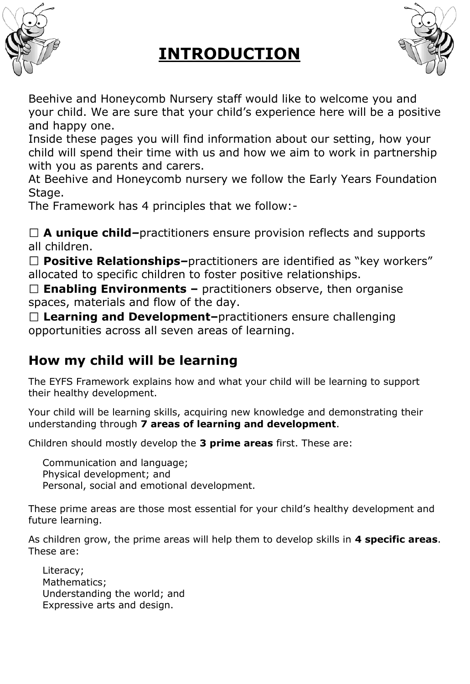

## **INTRODUCTION**



Beehive and Honeycomb Nursery staff would like to welcome you and your child. We are sure that your child's experience here will be a positive and happy one.

Inside these pages you will find information about our setting, how your child will spend their time with us and how we aim to work in partnership with you as parents and carers.

At Beehive and Honeycomb nursery we follow the Early Years Foundation Stage.

The Framework has 4 principles that we follow:-

**A unique child***–*practitioners ensure provision reflects and supports all children.

**Positive Relationships***–*practitioners are identified as "key workers" allocated to specific children to foster positive relationships.

**Enabling Environments –** practitioners observe, then organise spaces, materials and flow of the day.

**Learning and Development–**practitioners ensure challenging opportunities across all seven areas of learning.

### **How my child will be learning**

The EYFS Framework explains how and what your child will be learning to support their healthy development.

Your child will be learning skills, acquiring new knowledge and demonstrating their understanding through **7 areas of learning and development**.

Children should mostly develop the **3 prime areas** first. These are:

Communication and language; Physical development; and Personal, social and emotional development.

These prime areas are those most essential for your child's healthy development and future learning.

As children grow, the prime areas will help them to develop skills in **4 specific areas**. These are:

Literacy; Mathematics; Understanding the world; and Expressive arts and design.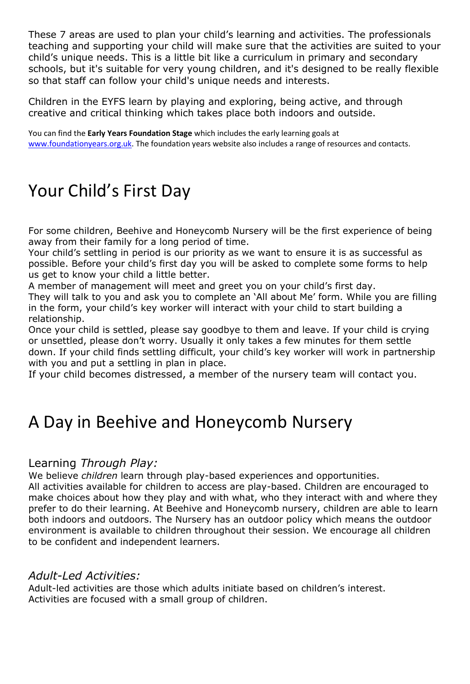These 7 areas are used to plan your child's learning and activities. The professionals teaching and supporting your child will make sure that the activities are suited to your child's unique needs. This is a little bit like a curriculum in primary and secondary schools, but it's suitable for very young children, and it's designed to be really flexible so that staff can follow your child's unique needs and interests.

Children in the EYFS learn by playing and exploring, being active, and through creative and critical thinking which takes place both indoors and outside.

You can find the **Early Years Foundation Stage** which includes the early learning goals at [www.foundationyears.org.uk.](http://www.foundationyears.org.uk/) The foundation years website also includes a range of resources and contacts.

## Your Child's First Day

For some children, Beehive and Honeycomb Nursery will be the first experience of being away from their family for a long period of time.

Your child's settling in period is our priority as we want to ensure it is as successful as possible. Before your child's first day you will be asked to complete some forms to help us get to know your child a little better.

A member of management will meet and greet you on your child's first day.

They will talk to you and ask you to complete an 'All about Me' form. While you are filling in the form, your child's key worker will interact with your child to start building a relationship.

Once your child is settled, please say goodbye to them and leave. If your child is crying or unsettled, please don't worry. Usually it only takes a few minutes for them settle down. If your child finds settling difficult, your child's key worker will work in partnership with you and put a settling in plan in place.

If your child becomes distressed, a member of the nursery team will contact you.

## A Day in Beehive and Honeycomb Nursery

### Learning *Through Play:*

We believe *children* learn through play-based experiences and opportunities.

All activities available for children to access are play-based. Children are encouraged to make choices about how they play and with what, who they interact with and where they prefer to do their learning. At Beehive and Honeycomb nursery, children are able to learn both indoors and outdoors. The Nursery has an outdoor policy which means the outdoor environment is available to children throughout their session. We encourage all children to be confident and independent learners.

### *Adult-Led Activities:*

Adult-led activities are those which adults initiate based on children's interest. Activities are focused with a small group of children.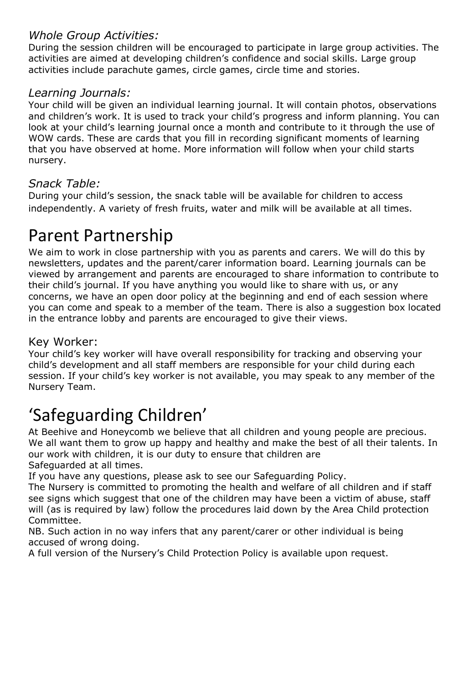### *Whole Group Activities:*

During the session children will be encouraged to participate in large group activities. The activities are aimed at developing children's confidence and social skills. Large group activities include parachute games, circle games, circle time and stories.

### *Learning Journals:*

Your child will be given an individual learning journal. It will contain photos, observations and children's work. It is used to track your child's progress and inform planning. You can look at your child's learning journal once a month and contribute to it through the use of WOW cards. These are cards that you fill in recording significant moments of learning that you have observed at home. More information will follow when your child starts nursery.

### *Snack Table:*

During your child's session, the snack table will be available for children to access independently. A variety of fresh fruits, water and milk will be available at all times.

## Parent Partnership

We aim to work in close partnership with you as parents and carers. We will do this by newsletters, updates and the parent/carer information board. Learning journals can be viewed by arrangement and parents are encouraged to share information to contribute to their child's journal. If you have anything you would like to share with us, or any concerns, we have an open door policy at the beginning and end of each session where you can come and speak to a member of the team. There is also a suggestion box located in the entrance lobby and parents are encouraged to give their views.

### Key Worker:

Your child's key worker will have overall responsibility for tracking and observing your child's development and all staff members are responsible for your child during each session. If your child's key worker is not available, you may speak to any member of the Nursery Team.

# 'Safeguarding Children'

At Beehive and Honeycomb we believe that all children and young people are precious. We all want them to grow up happy and healthy and make the best of all their talents. In our work with children, it is our duty to ensure that children are Safeguarded at all times.

If you have any questions, please ask to see our Safeguarding Policy.

The Nursery is committed to promoting the health and welfare of all children and if staff see signs which suggest that one of the children may have been a victim of abuse, staff will (as is required by law) follow the procedures laid down by the Area Child protection Committee.

NB. Such action in no way infers that any parent/carer or other individual is being accused of wrong doing.

A full version of the Nursery's Child Protection Policy is available upon request.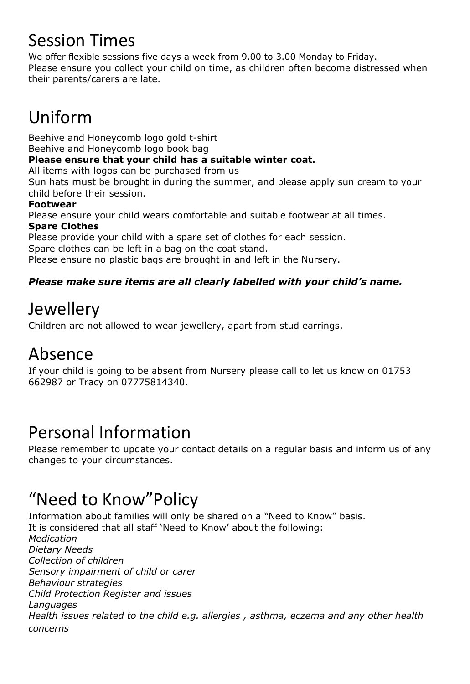# Session Times

We offer flexible sessions five days a week from 9.00 to 3.00 Monday to Friday. Please ensure you collect your child on time, as children often become distressed when their parents/carers are late.

# Uniform

Beehive and Honeycomb logo gold t-shirt

Beehive and Honeycomb logo book bag

### **Please ensure that your child has a suitable winter coat.**

All items with logos can be purchased from us

Sun hats must be brought in during the summer, and please apply sun cream to your child before their session.

### **Footwear**

Please ensure your child wears comfortable and suitable footwear at all times.

### **Spare Clothes**

Please provide your child with a spare set of clothes for each session.

Spare clothes can be left in a bag on the coat stand.

Please ensure no plastic bags are brought in and left in the Nursery.

### *Please make sure items are all clearly labelled with your child's name.*

## **Jewellery**

Children are not allowed to wear jewellery, apart from stud earrings.

# Absence

If your child is going to be absent from Nursery please call to let us know on 01753 662987 or Tracy on 07775814340.

# Personal Information

Please remember to update your contact details on a regular basis and inform us of any changes to your circumstances.

# "Need to Know"Policy

Information about families will only be shared on a "Need to Know" basis. It is considered that all staff 'Need to Know' about the following: *Medication Dietary Needs Collection of children Sensory impairment of child or carer Behaviour strategies Child Protection Register and issues Languages Health issues related to the child e.g. allergies , asthma, eczema and any other health concerns*